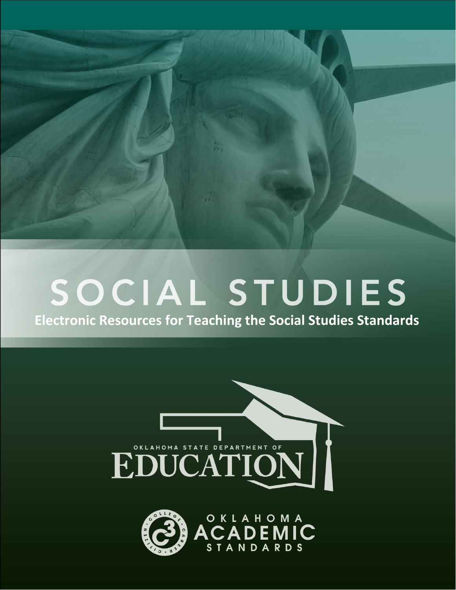

## SOCIAL STUDIES

**Electronic Resources for Teaching the Social Studies Standards**



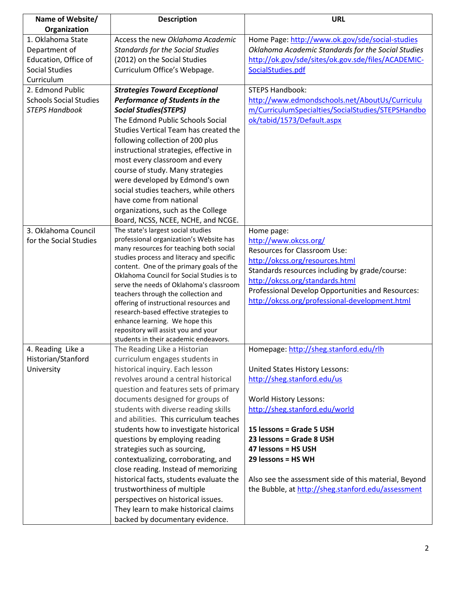| Name of Website/              | <b>Description</b>                                                       | <b>URL</b>                                            |
|-------------------------------|--------------------------------------------------------------------------|-------------------------------------------------------|
| Organization                  |                                                                          |                                                       |
| 1. Oklahoma State             | Access the new Oklahoma Academic                                         | Home Page: http://www.ok.gov/sde/social-studies       |
| Department of                 | <b>Standards for the Social Studies</b>                                  | Oklahoma Academic Standards for the Social Studies    |
| Education, Office of          | (2012) on the Social Studies                                             | http://ok.gov/sde/sites/ok.gov.sde/files/ACADEMIC-    |
| <b>Social Studies</b>         | Curriculum Office's Webpage.                                             | SocialStudies.pdf                                     |
| Curriculum                    |                                                                          |                                                       |
| 2. Edmond Public              | <b>Strategies Toward Exceptional</b>                                     | <b>STEPS Handbook:</b>                                |
| <b>Schools Social Studies</b> | <b>Performance of Students in the</b>                                    | http://www.edmondschools.net/AboutUs/Curriculu        |
| <b>STEPS Handbook</b>         | <b>Social Studies (STEPS)</b>                                            | m/CurriculumSpecialties/SocialStudies/STEPSHandbo     |
|                               | The Edmond Public Schools Social                                         | ok/tabid/1573/Default.aspx                            |
|                               | Studies Vertical Team has created the                                    |                                                       |
|                               | following collection of 200 plus                                         |                                                       |
|                               | instructional strategies, effective in                                   |                                                       |
|                               | most every classroom and every                                           |                                                       |
|                               | course of study. Many strategies                                         |                                                       |
|                               | were developed by Edmond's own                                           |                                                       |
|                               | social studies teachers, while others                                    |                                                       |
|                               | have come from national                                                  |                                                       |
|                               | organizations, such as the College                                       |                                                       |
|                               | Board, NCSS, NCEE, NCHE, and NCGE.                                       |                                                       |
| 3. Oklahoma Council           | The state's largest social studies                                       | Home page:                                            |
| for the Social Studies        | professional organization's Website has                                  | http://www.okcss.org/                                 |
|                               | many resources for teaching both social                                  | <b>Resources for Classroom Use:</b>                   |
|                               | studies process and literacy and specific                                | http://okcss.org/resources.html                       |
|                               | content. One of the primary goals of the                                 | Standards resources including by grade/course:        |
|                               | Oklahoma Council for Social Studies is to                                | http://okcss.org/standards.html                       |
|                               | serve the needs of Oklahoma's classroom                                  | Professional Develop Opportunities and Resources:     |
|                               | teachers through the collection and                                      | http://okcss.org/professional-development.html        |
|                               | offering of instructional resources and                                  |                                                       |
|                               | research-based effective strategies to<br>enhance learning. We hope this |                                                       |
|                               | repository will assist you and your                                      |                                                       |
|                               | students in their academic endeavors.                                    |                                                       |
| 4. Reading Like a             | The Reading Like a Historian                                             | Homepage: http://sheg.stanford.edu/rlh                |
| Historian/Stanford            | curriculum engages students in                                           |                                                       |
| University                    | historical inquiry. Each lesson                                          | United States History Lessons:                        |
|                               | revolves around a central historical                                     | http://sheg.stanford.edu/us                           |
|                               | question and features sets of primary                                    |                                                       |
|                               | documents designed for groups of                                         | World History Lessons:                                |
|                               | students with diverse reading skills                                     | http://sheg.stanford.edu/world                        |
|                               | and abilities. This curriculum teaches                                   |                                                       |
|                               | students how to investigate historical                                   | 15 lessons = Grade 5 USH                              |
|                               | questions by employing reading                                           | 23 lessons = Grade 8 USH                              |
|                               | strategies such as sourcing,                                             | 47 lessons = HS USH                                   |
|                               | contextualizing, corroborating, and                                      | 29 lessons = HS WH                                    |
|                               | close reading. Instead of memorizing                                     |                                                       |
|                               | historical facts, students evaluate the                                  | Also see the assessment side of this material, Beyond |
|                               | trustworthiness of multiple                                              | the Bubble, at http://sheg.stanford.edu/assessment    |
|                               | perspectives on historical issues.                                       |                                                       |
|                               | They learn to make historical claims                                     |                                                       |
|                               |                                                                          |                                                       |
|                               | backed by documentary evidence.                                          |                                                       |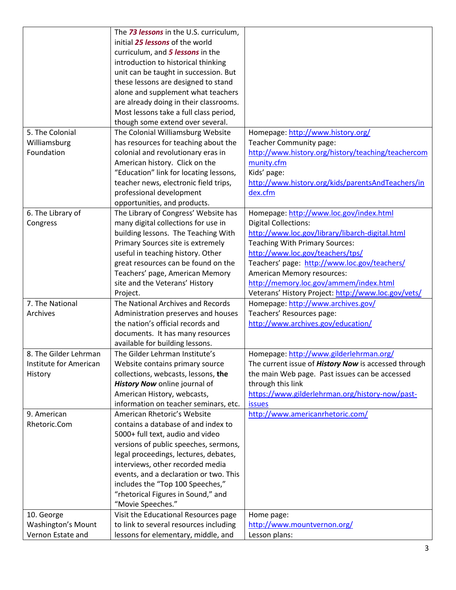|                           | The 73 lessons in the U.S. curriculum, |                                                                                                        |
|---------------------------|----------------------------------------|--------------------------------------------------------------------------------------------------------|
|                           | initial 25 lessons of the world        |                                                                                                        |
|                           | curriculum, and 5 lessons in the       |                                                                                                        |
|                           | introduction to historical thinking    |                                                                                                        |
|                           | unit can be taught in succession. But  |                                                                                                        |
|                           | these lessons are designed to stand    |                                                                                                        |
|                           | alone and supplement what teachers     |                                                                                                        |
|                           | are already doing in their classrooms. |                                                                                                        |
|                           | Most lessons take a full class period, |                                                                                                        |
|                           | though some extend over several.       |                                                                                                        |
| 5. The Colonial           | The Colonial Williamsburg Website      | Homepage: http://www.history.org/                                                                      |
| Williamsburg              | has resources for teaching about the   | Teacher Community page:                                                                                |
| Foundation                | colonial and revolutionary eras in     | http://www.history.org/history/teaching/teachercom                                                     |
|                           | American history. Click on the         | munity.cfm                                                                                             |
|                           | "Education" link for locating lessons, | Kids' page:                                                                                            |
|                           | teacher news, electronic field trips,  | http://www.history.org/kids/parentsAndTeachers/in                                                      |
|                           | professional development               | dex.cfm                                                                                                |
|                           | opportunities, and products.           |                                                                                                        |
| 6. The Library of         | The Library of Congress' Website has   | Homepage: http://www.loc.gov/index.html                                                                |
| Congress                  | many digital collections for use in    | <b>Digital Collections:</b>                                                                            |
|                           | building lessons. The Teaching With    | http://www.loc.gov/library/libarch-digital.html                                                        |
|                           | Primary Sources site is extremely      | <b>Teaching With Primary Sources:</b>                                                                  |
|                           | useful in teaching history. Other      | http://www.loc.gov/teachers/tps/                                                                       |
|                           | great resources can be found on the    | Teachers' page: http://www.loc.gov/teachers/                                                           |
|                           | Teachers' page, American Memory        | American Memory resources:                                                                             |
|                           | site and the Veterans' History         | http://memory.loc.gov/ammem/index.html                                                                 |
|                           | Project.                               | Veterans' History Project: http://www.loc.gov/vets/                                                    |
| 7. The National           | The National Archives and Records      | Homepage: http://www.archives.gov/                                                                     |
| Archives                  | Administration preserves and houses    | Teachers' Resources page:                                                                              |
|                           | the nation's official records and      | http://www.archives.gov/education/                                                                     |
|                           | documents. It has many resources       |                                                                                                        |
|                           | available for building lessons.        |                                                                                                        |
| 8. The Gilder Lehrman     | The Gilder Lehrman Institute's         |                                                                                                        |
| Institute for American    | Website contains primary source        | Homepage: http://www.gilderlehrman.org/<br>The current issue of <i>History Now</i> is accessed through |
|                           | collections, webcasts, lessons, the    |                                                                                                        |
| History                   | History Now online journal of          | the main Web page. Past issues can be accessed                                                         |
|                           | American History, webcasts,            | through this link<br>https://www.gilderlehrman.org/history-now/past-                                   |
|                           | information on teacher seminars, etc.  | <b>issues</b>                                                                                          |
| 9. American               | American Rhetoric's Website            |                                                                                                        |
| Rhetoric.Com              | contains a database of and index to    | http://www.americanrhetoric.com/                                                                       |
|                           |                                        |                                                                                                        |
|                           | 5000+ full text, audio and video       |                                                                                                        |
|                           | versions of public speeches, sermons,  |                                                                                                        |
|                           | legal proceedings, lectures, debates,  |                                                                                                        |
|                           | interviews, other recorded media       |                                                                                                        |
|                           | events, and a declaration or two. This |                                                                                                        |
|                           | includes the "Top 100 Speeches,"       |                                                                                                        |
|                           | "rhetorical Figures in Sound," and     |                                                                                                        |
|                           | "Movie Speeches."                      |                                                                                                        |
| 10. George                | Visit the Educational Resources page   | Home page:                                                                                             |
| <b>Washington's Mount</b> | to link to several resources including | http://www.mountvernon.org/                                                                            |
| Vernon Estate and         | lessons for elementary, middle, and    | Lesson plans:                                                                                          |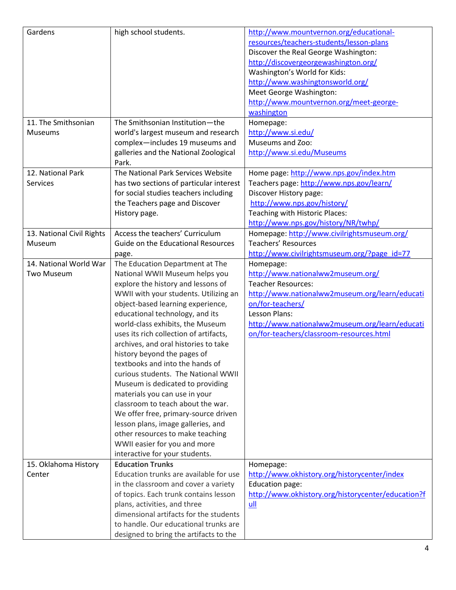| Gardens                   | high school students.                                          | http://www.mountvernon.org/educational-            |
|---------------------------|----------------------------------------------------------------|----------------------------------------------------|
|                           |                                                                | resources/teachers-students/lesson-plans           |
|                           |                                                                | Discover the Real George Washington:               |
|                           |                                                                | http://discovergeorgewashington.org/               |
|                           |                                                                | Washington's World for Kids:                       |
|                           |                                                                | http://www.washingtonsworld.org/                   |
|                           |                                                                | Meet George Washington:                            |
|                           |                                                                | http://www.mountvernon.org/meet-george-            |
|                           |                                                                | washington                                         |
| 11. The Smithsonian       | The Smithsonian Institution-the                                | Homepage:                                          |
| Museums                   | world's largest museum and research                            | http://www.si.edu/                                 |
|                           | complex-includes 19 museums and                                | Museums and Zoo:                                   |
|                           | galleries and the National Zoological                          | http://www.si.edu/Museums                          |
|                           | Park.                                                          |                                                    |
| 12. National Park         | The National Park Services Website                             | Home page: http://www.nps.gov/index.htm            |
| <b>Services</b>           | has two sections of particular interest                        | Teachers page: http://www.nps.gov/learn/           |
|                           | for social studies teachers including                          | Discover History page:                             |
|                           | the Teachers page and Discover                                 | http://www.nps.gov/history/                        |
|                           | History page.                                                  | Teaching with Historic Places:                     |
|                           |                                                                | http://www.nps.gov/history/NR/twhp/                |
| 13. National Civil Rights | Access the teachers' Curriculum                                | Homepage: http://www.civilrightsmuseum.org/        |
| Museum                    | Guide on the Educational Resources                             | <b>Teachers' Resources</b>                         |
|                           | page.                                                          | http://www.civilrightsmuseum.org/?page_id=77       |
| 14. National World War    | The Education Department at The                                | Homepage:                                          |
| Two Museum                | National WWII Museum helps you                                 | http://www.nationalww2museum.org/                  |
|                           | explore the history and lessons of                             | <b>Teacher Resources:</b>                          |
|                           | WWII with your students. Utilizing an                          | http://www.nationalww2museum.org/learn/educati     |
|                           | object-based learning experience,                              | on/for-teachers/                                   |
|                           | educational technology, and its                                | Lesson Plans:                                      |
|                           | world-class exhibits, the Museum                               | http://www.nationalww2museum.org/learn/educati     |
|                           | uses its rich collection of artifacts,                         | on/for-teachers/classroom-resources.html           |
|                           | archives, and oral histories to take                           |                                                    |
|                           |                                                                |                                                    |
|                           | history beyond the pages of<br>textbooks and into the hands of |                                                    |
|                           | curious students. The National WWII                            |                                                    |
|                           |                                                                |                                                    |
|                           | Museum is dedicated to providing                               |                                                    |
|                           | materials you can use in your                                  |                                                    |
|                           | classroom to teach about the war.                              |                                                    |
|                           | We offer free, primary-source driven                           |                                                    |
|                           | lesson plans, image galleries, and                             |                                                    |
|                           | other resources to make teaching                               |                                                    |
|                           | WWII easier for you and more                                   |                                                    |
|                           | interactive for your students.                                 |                                                    |
| 15. Oklahoma History      | <b>Education Trunks</b>                                        | Homepage:                                          |
| Center                    | Education trunks are available for use                         | http://www.okhistory.org/historycenter/index       |
|                           | in the classroom and cover a variety                           | Education page:                                    |
|                           | of topics. Each trunk contains lesson                          | http://www.okhistory.org/historycenter/education?f |
|                           | plans, activities, and three                                   | ull                                                |
|                           | dimensional artifacts for the students                         |                                                    |
|                           | to handle. Our educational trunks are                          |                                                    |
|                           | designed to bring the artifacts to the                         |                                                    |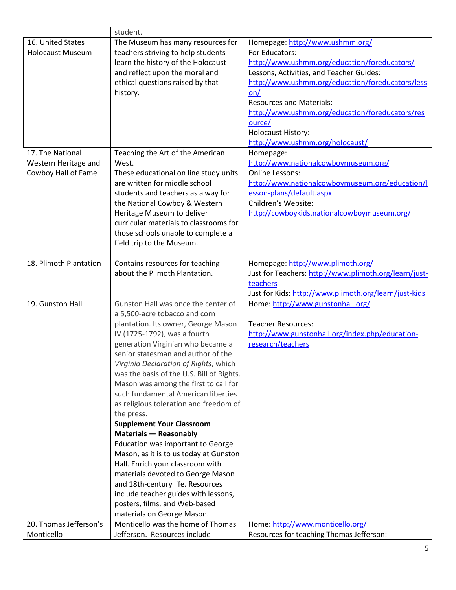|                         | student.                                                    |                                                       |
|-------------------------|-------------------------------------------------------------|-------------------------------------------------------|
| 16. United States       | The Museum has many resources for                           | Homepage: http://www.ushmm.org/                       |
| <b>Holocaust Museum</b> | teachers striving to help students                          | For Educators:                                        |
|                         | learn the history of the Holocaust                          | http://www.ushmm.org/education/foreducators/          |
|                         | and reflect upon the moral and                              | Lessons, Activities, and Teacher Guides:              |
|                         | ethical questions raised by that                            | http://www.ushmm.org/education/foreducators/less      |
|                         | history.                                                    | on/                                                   |
|                         |                                                             | <b>Resources and Materials:</b>                       |
|                         |                                                             | http://www.ushmm.org/education/foreducators/res       |
|                         |                                                             | ource/                                                |
|                         |                                                             | <b>Holocaust History:</b>                             |
|                         |                                                             | http://www.ushmm.org/holocaust/                       |
| 17. The National        | Teaching the Art of the American                            | Homepage:                                             |
| Western Heritage and    | West.                                                       | http://www.nationalcowboymuseum.org/                  |
| Cowboy Hall of Fame     | These educational on line study units                       | <b>Online Lessons:</b>                                |
|                         | are written for middle school                               | http://www.nationalcowboymuseum.org/education/l       |
|                         | students and teachers as a way for                          | esson-plans/default.aspx                              |
|                         | the National Cowboy & Western                               | Children's Website:                                   |
|                         | Heritage Museum to deliver                                  | http://cowboykids.nationalcowboymuseum.org/           |
|                         | curricular materials to classrooms for                      |                                                       |
|                         | those schools unable to complete a                          |                                                       |
|                         | field trip to the Museum.                                   |                                                       |
|                         |                                                             |                                                       |
| 18. Plimoth Plantation  | Contains resources for teaching                             | Homepage: http://www.plimoth.org/                     |
|                         | about the Plimoth Plantation.                               | Just for Teachers: http://www.plimoth.org/learn/just- |
|                         |                                                             | teachers                                              |
|                         |                                                             | Just for Kids: http://www.plimoth.org/learn/just-kids |
| 19. Gunston Hall        | Gunston Hall was once the center of                         | Home: http://www.gunstonhall.org/                     |
|                         | a 5,500-acre tobacco and corn                               |                                                       |
|                         | plantation. Its owner, George Mason                         | <b>Teacher Resources:</b>                             |
|                         | IV (1725-1792), was a fourth                                | http://www.gunstonhall.org/index.php/education-       |
|                         | generation Virginian who became a                           | research/teachers                                     |
|                         | senior statesman and author of the                          |                                                       |
|                         | Virginia Declaration of Rights, which                       |                                                       |
|                         | was the basis of the U.S. Bill of Rights.                   |                                                       |
|                         | Mason was among the first to call for                       |                                                       |
|                         | such fundamental American liberties                         |                                                       |
|                         | as religious toleration and freedom of                      |                                                       |
|                         | the press.                                                  |                                                       |
|                         | <b>Supplement Your Classroom</b>                            |                                                       |
|                         | Materials - Reasonably                                      |                                                       |
|                         | Education was important to George                           |                                                       |
|                         | Mason, as it is to us today at Gunston                      |                                                       |
|                         | Hall. Enrich your classroom with                            |                                                       |
|                         | materials devoted to George Mason                           |                                                       |
|                         |                                                             |                                                       |
|                         | and 18th-century life. Resources                            |                                                       |
|                         | include teacher guides with lessons,                        |                                                       |
|                         | posters, films, and Web-based<br>materials on George Mason. |                                                       |
| 20. Thomas Jefferson's  | Monticello was the home of Thomas                           | Home: http://www.monticello.org/                      |
| Monticello              | Jefferson. Resources include                                | Resources for teaching Thomas Jefferson:              |
|                         |                                                             |                                                       |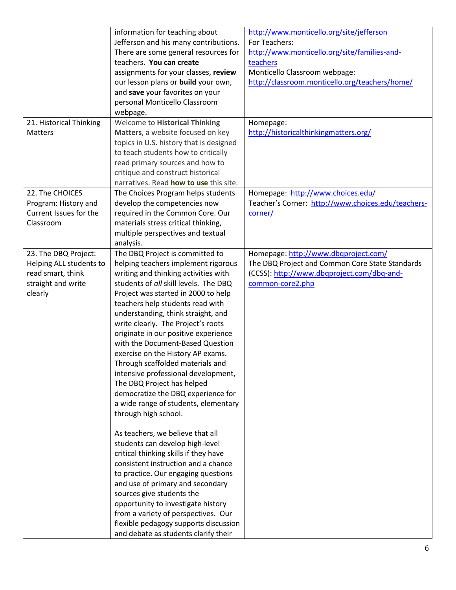|                         | information for teaching about                                           | http://www.monticello.org/site/jefferson           |
|-------------------------|--------------------------------------------------------------------------|----------------------------------------------------|
|                         | Jefferson and his many contributions.                                    | For Teachers:                                      |
|                         | There are some general resources for                                     | http://www.monticello.org/site/families-and-       |
|                         | teachers. You can create                                                 | teachers                                           |
|                         | assignments for your classes, review                                     | Monticello Classroom webpage:                      |
|                         | our lesson plans or build your own,                                      | http://classroom.monticello.org/teachers/home/     |
|                         | and save your favorites on your                                          |                                                    |
|                         | personal Monticello Classroom                                            |                                                    |
|                         | webpage.                                                                 |                                                    |
| 21. Historical Thinking | <b>Welcome to Historical Thinking</b>                                    | Homepage:                                          |
| <b>Matters</b>          | Matters, a website focused on key                                        | http://historicalthinkingmatters.org/              |
|                         | topics in U.S. history that is designed                                  |                                                    |
|                         | to teach students how to critically                                      |                                                    |
|                         | read primary sources and how to                                          |                                                    |
|                         | critique and construct historical                                        |                                                    |
|                         | narratives. Read how to use this site.                                   |                                                    |
| 22. The CHOICES         | The Choices Program helps students                                       | Homepage: http://www.choices.edu/                  |
| Program: History and    | develop the competencies now                                             | Teacher's Corner: http://www.choices.edu/teachers- |
| Current Issues for the  | required in the Common Core. Our                                         | corner/                                            |
| Classroom               | materials stress critical thinking,                                      |                                                    |
|                         | multiple perspectives and textual                                        |                                                    |
|                         | analysis.                                                                |                                                    |
| 23. The DBQ Project:    | The DBQ Project is committed to                                          | Homepage: http://www.dbqproject.com/               |
| Helping ALL students to | helping teachers implement rigorous                                      | The DBQ Project and Common Core State Standards    |
| read smart, think       | writing and thinking activities with                                     | (CCSS): http://www.dbqproject.com/dbq-and-         |
| straight and write      | students of all skill levels. The DBQ                                    | common-core2.php                                   |
| clearly                 | Project was started in 2000 to help                                      |                                                    |
|                         | teachers help students read with                                         |                                                    |
|                         | understanding, think straight, and                                       |                                                    |
|                         | write clearly. The Project's roots                                       |                                                    |
|                         | originate in our positive experience                                     |                                                    |
|                         | with the Document-Based Question                                         |                                                    |
|                         |                                                                          |                                                    |
|                         | exercise on the History AP exams.                                        |                                                    |
|                         | Through scaffolded materials and                                         |                                                    |
|                         | intensive professional development,                                      |                                                    |
|                         | The DBQ Project has helped                                               |                                                    |
|                         | democratize the DBQ experience for                                       |                                                    |
|                         | a wide range of students, elementary                                     |                                                    |
|                         | through high school.                                                     |                                                    |
|                         |                                                                          |                                                    |
|                         | As teachers, we believe that all                                         |                                                    |
|                         | students can develop high-level<br>critical thinking skills if they have |                                                    |
|                         |                                                                          |                                                    |
|                         | consistent instruction and a chance                                      |                                                    |
|                         | to practice. Our engaging questions                                      |                                                    |
|                         | and use of primary and secondary                                         |                                                    |
|                         | sources give students the                                                |                                                    |
|                         | opportunity to investigate history                                       |                                                    |
|                         | from a variety of perspectives. Our                                      |                                                    |
|                         | flexible pedagogy supports discussion                                    |                                                    |
|                         | and debate as students clarify their                                     |                                                    |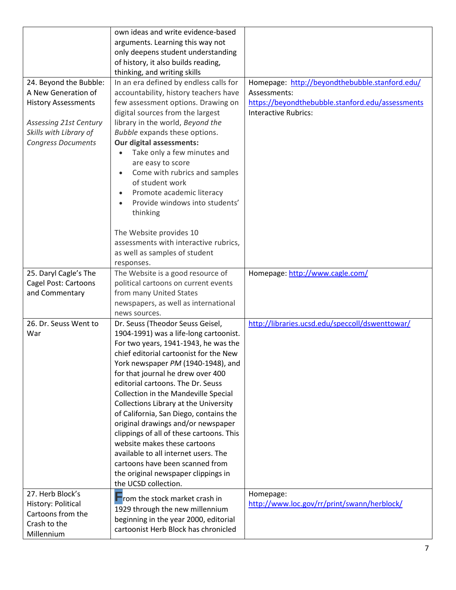|                                         | own ideas and write evidence-based                                      |                                                  |
|-----------------------------------------|-------------------------------------------------------------------------|--------------------------------------------------|
|                                         | arguments. Learning this way not                                        |                                                  |
|                                         | only deepens student understanding                                      |                                                  |
|                                         | of history, it also builds reading,                                     |                                                  |
|                                         | thinking, and writing skills                                            |                                                  |
| 24. Beyond the Bubble:                  | In an era defined by endless calls for                                  | Homepage: http://beyondthebubble.stanford.edu/   |
| A New Generation of                     | accountability, history teachers have                                   | Assessments:                                     |
| <b>History Assessments</b>              | few assessment options. Drawing on                                      | https://beyondthebubble.stanford.edu/assessments |
|                                         | digital sources from the largest                                        | <b>Interactive Rubrics:</b>                      |
| <b>Assessing 21st Century</b>           | library in the world, Beyond the                                        |                                                  |
| Skills with Library of                  | Bubble expands these options.                                           |                                                  |
| <b>Congress Documents</b>               | Our digital assessments:                                                |                                                  |
|                                         | Take only a few minutes and                                             |                                                  |
|                                         | are easy to score                                                       |                                                  |
|                                         | Come with rubrics and samples                                           |                                                  |
|                                         | of student work                                                         |                                                  |
|                                         | Promote academic literacy                                               |                                                  |
|                                         | Provide windows into students'                                          |                                                  |
|                                         | thinking                                                                |                                                  |
|                                         |                                                                         |                                                  |
|                                         | The Website provides 10                                                 |                                                  |
|                                         | assessments with interactive rubrics,                                   |                                                  |
|                                         | as well as samples of student                                           |                                                  |
|                                         | responses.                                                              |                                                  |
| 25. Daryl Cagle's The                   | The Website is a good resource of                                       | Homepage: http://www.cagle.com/                  |
| Cagel Post: Cartoons                    | political cartoons on current events                                    |                                                  |
| and Commentary                          | from many United States                                                 |                                                  |
|                                         | newspapers, as well as international                                    |                                                  |
|                                         | news sources.                                                           |                                                  |
| 26. Dr. Seuss Went to                   | Dr. Seuss (Theodor Seuss Geisel,                                        | http://libraries.ucsd.edu/speccoll/dswenttowar/  |
| War                                     | 1904-1991) was a life-long cartoonist.                                  |                                                  |
|                                         | For two years, 1941-1943, he was the                                    |                                                  |
|                                         | chief editorial cartoonist for the New                                  |                                                  |
|                                         | York newspaper PM (1940-1948), and                                      |                                                  |
|                                         | for that journal he drew over 400                                       |                                                  |
|                                         | editorial cartoons. The Dr. Seuss                                       |                                                  |
|                                         | Collection in the Mandeville Special                                    |                                                  |
|                                         | Collections Library at the University                                   |                                                  |
|                                         | of California, San Diego, contains the                                  |                                                  |
|                                         | original drawings and/or newspaper                                      |                                                  |
|                                         | clippings of all of these cartoons. This                                |                                                  |
|                                         | website makes these cartoons                                            |                                                  |
|                                         |                                                                         |                                                  |
|                                         | available to all internet users. The<br>cartoons have been scanned from |                                                  |
|                                         |                                                                         |                                                  |
|                                         | the original newspaper clippings in<br>the UCSD collection.             |                                                  |
| 27. Herb Block's                        |                                                                         |                                                  |
|                                         | rom the stock market crash in                                           | Homepage:                                        |
| History: Political<br>Cartoons from the | 1929 through the new millennium                                         | http://www.loc.gov/rr/print/swann/herblock/      |
| Crash to the                            | beginning in the year 2000, editorial                                   |                                                  |
| Millennium                              | cartoonist Herb Block has chronicled                                    |                                                  |
|                                         |                                                                         |                                                  |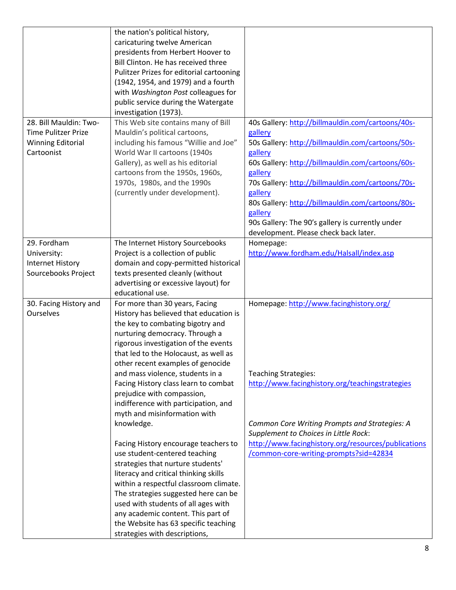| 28. Bill Mauldin: Two-<br><b>Time Pulitzer Prize</b><br><b>Winning Editorial</b><br>Cartoonist | the nation's political history,<br>caricaturing twelve American<br>presidents from Herbert Hoover to<br>Bill Clinton. He has received three<br>Pulitzer Prizes for editorial cartooning<br>(1942, 1954, and 1979) and a fourth<br>with Washington Post colleagues for<br>public service during the Watergate<br>investigation (1973).<br>This Web site contains many of Bill<br>Mauldin's political cartoons,<br>including his famous "Willie and Joe"<br>World War II cartoons (1940s<br>Gallery), as well as his editorial<br>cartoons from the 1950s, 1960s,<br>1970s, 1980s, and the 1990s<br>(currently under development).                                                                                                                                                                                                   | 40s Gallery: http://billmauldin.com/cartoons/40s-<br>gallery<br>50s Gallery: http://billmauldin.com/cartoons/50s-<br>gallery<br>60s Gallery: http://billmauldin.com/cartoons/60s-<br>gallery<br>70s Gallery: http://billmauldin.com/cartoons/70s-<br>gallery<br>80s Gallery: http://billmauldin.com/cartoons/80s-<br>gallery<br>90s Gallery: The 90's gallery is currently under |
|------------------------------------------------------------------------------------------------|------------------------------------------------------------------------------------------------------------------------------------------------------------------------------------------------------------------------------------------------------------------------------------------------------------------------------------------------------------------------------------------------------------------------------------------------------------------------------------------------------------------------------------------------------------------------------------------------------------------------------------------------------------------------------------------------------------------------------------------------------------------------------------------------------------------------------------|----------------------------------------------------------------------------------------------------------------------------------------------------------------------------------------------------------------------------------------------------------------------------------------------------------------------------------------------------------------------------------|
|                                                                                                |                                                                                                                                                                                                                                                                                                                                                                                                                                                                                                                                                                                                                                                                                                                                                                                                                                    | development. Please check back later.                                                                                                                                                                                                                                                                                                                                            |
| 29. Fordham<br>University:<br><b>Internet History</b><br>Sourcebooks Project                   | The Internet History Sourcebooks<br>Project is a collection of public<br>domain and copy-permitted historical<br>texts presented cleanly (without<br>advertising or excessive layout) for<br>educational use.                                                                                                                                                                                                                                                                                                                                                                                                                                                                                                                                                                                                                      | Homepage:<br>http://www.fordham.edu/Halsall/index.asp                                                                                                                                                                                                                                                                                                                            |
| 30. Facing History and<br>Ourselves                                                            | For more than 30 years, Facing<br>History has believed that education is<br>the key to combating bigotry and<br>nurturing democracy. Through a<br>rigorous investigation of the events<br>that led to the Holocaust, as well as<br>other recent examples of genocide<br>and mass violence, students in a<br>Facing History class learn to combat<br>prejudice with compassion,<br>indifference with participation, and<br>myth and misinformation with<br>knowledge.<br>Facing History encourage teachers to<br>use student-centered teaching<br>strategies that nurture students'<br>literacy and critical thinking skills<br>within a respectful classroom climate.<br>The strategies suggested here can be<br>used with students of all ages with<br>any academic content. This part of<br>the Website has 63 specific teaching | Homepage: http://www.facinghistory.org/<br><b>Teaching Strategies:</b><br>http://www.facinghistory.org/teachingstrategies<br>Common Core Writing Prompts and Strategies: A<br>Supplement to Choices in Little Rock:<br>http://www.facinghistory.org/resources/publications<br>/common-core-writing-prompts?sid=42834                                                             |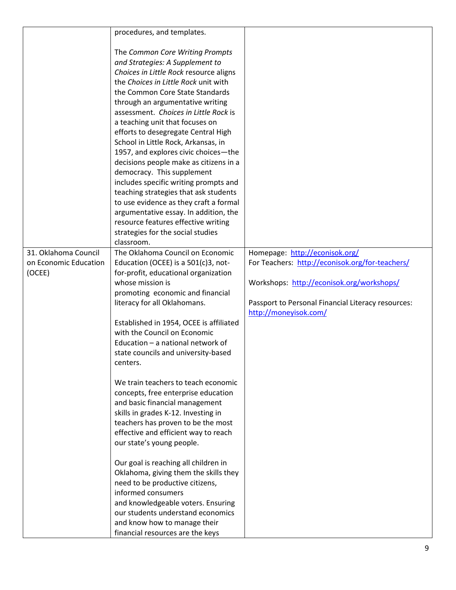|                       | procedures, and templates.                                              |                                                    |
|-----------------------|-------------------------------------------------------------------------|----------------------------------------------------|
|                       |                                                                         |                                                    |
|                       | The Common Core Writing Prompts                                         |                                                    |
|                       | and Strategies: A Supplement to                                         |                                                    |
|                       | Choices in Little Rock resource aligns                                  |                                                    |
|                       | the Choices in Little Rock unit with                                    |                                                    |
|                       | the Common Core State Standards                                         |                                                    |
|                       | through an argumentative writing                                        |                                                    |
|                       | assessment. Choices in Little Rock is                                   |                                                    |
|                       | a teaching unit that focuses on                                         |                                                    |
|                       | efforts to desegregate Central High                                     |                                                    |
|                       | School in Little Rock, Arkansas, in                                     |                                                    |
|                       | 1957, and explores civic choices-the                                    |                                                    |
|                       | decisions people make as citizens in a                                  |                                                    |
|                       | democracy. This supplement                                              |                                                    |
|                       | includes specific writing prompts and                                   |                                                    |
|                       | teaching strategies that ask students                                   |                                                    |
|                       | to use evidence as they craft a formal                                  |                                                    |
|                       | argumentative essay. In addition, the                                   |                                                    |
|                       | resource features effective writing                                     |                                                    |
|                       | strategies for the social studies                                       |                                                    |
|                       | classroom.                                                              |                                                    |
| 31. Oklahoma Council  | The Oklahoma Council on Economic                                        | Homepage: http://econisok.org/                     |
| on Economic Education | Education (OCEE) is a 501(c)3, not-                                     | For Teachers: http://econisok.org/for-teachers/    |
| (OCEE)                | for-profit, educational organization                                    |                                                    |
|                       | whose mission is                                                        | Workshops: http://econisok.org/workshops/          |
|                       | promoting economic and financial                                        |                                                    |
|                       | literacy for all Oklahomans.                                            | Passport to Personal Financial Literacy resources: |
|                       |                                                                         | http://moneyisok.com/                              |
|                       | Established in 1954, OCEE is affiliated                                 |                                                    |
|                       | with the Council on Economic                                            |                                                    |
|                       | Education - a national network of                                       |                                                    |
|                       | state councils and university-based                                     |                                                    |
|                       | centers.                                                                |                                                    |
|                       |                                                                         |                                                    |
|                       | We train teachers to teach economic                                     |                                                    |
|                       | concepts, free enterprise education                                     |                                                    |
|                       | and basic financial management                                          |                                                    |
|                       | skills in grades K-12. Investing in                                     |                                                    |
|                       | teachers has proven to be the most                                      |                                                    |
|                       | effective and efficient way to reach                                    |                                                    |
|                       | our state's young people.                                               |                                                    |
|                       | Our goal is reaching all children in                                    |                                                    |
|                       | Oklahoma, giving them the skills they                                   |                                                    |
|                       | need to be productive citizens,                                         |                                                    |
|                       | informed consumers                                                      |                                                    |
|                       |                                                                         |                                                    |
|                       | and knowledgeable voters. Ensuring<br>our students understand economics |                                                    |
|                       |                                                                         |                                                    |
|                       | and know how to manage their                                            |                                                    |
|                       | financial resources are the keys                                        |                                                    |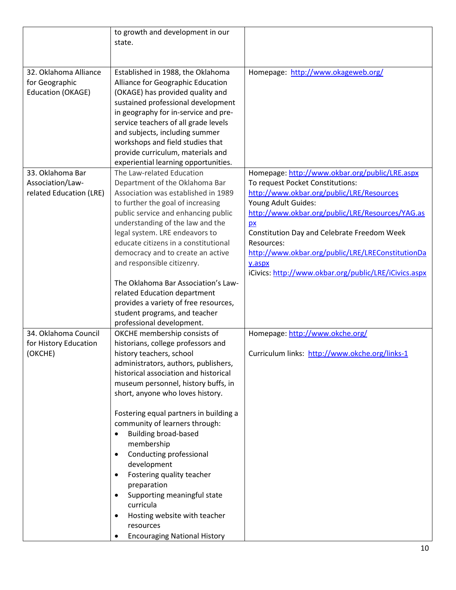|                                                                 | to growth and development in our<br>state.                                                                                                                                                                                                                                                                                                                                                                                             |                                                                                                                                                                                                                                                                                                                                                                                                        |
|-----------------------------------------------------------------|----------------------------------------------------------------------------------------------------------------------------------------------------------------------------------------------------------------------------------------------------------------------------------------------------------------------------------------------------------------------------------------------------------------------------------------|--------------------------------------------------------------------------------------------------------------------------------------------------------------------------------------------------------------------------------------------------------------------------------------------------------------------------------------------------------------------------------------------------------|
| 32. Oklahoma Alliance<br>for Geographic<br>Education (OKAGE)    | Established in 1988, the Oklahoma<br>Alliance for Geographic Education<br>(OKAGE) has provided quality and<br>sustained professional development<br>in geography for in-service and pre-<br>service teachers of all grade levels<br>and subjects, including summer<br>workshops and field studies that<br>provide curriculum, materials and<br>experiential learning opportunities.                                                    | Homepage: http://www.okageweb.org/                                                                                                                                                                                                                                                                                                                                                                     |
| 33. Oklahoma Bar<br>Association/Law-<br>related Education (LRE) | The Law-related Education<br>Department of the Oklahoma Bar<br>Association was established in 1989<br>to further the goal of increasing<br>public service and enhancing public<br>understanding of the law and the<br>legal system. LRE endeavors to<br>educate citizens in a constitutional<br>democracy and to create an active<br>and responsible citizenry.<br>The Oklahoma Bar Association's Law-<br>related Education department | Homepage: http://www.okbar.org/public/LRE.aspx<br>To request Pocket Constitutions:<br>http://www.okbar.org/public/LRE/Resources<br>Young Adult Guides:<br>http://www.okbar.org/public/LRE/Resources/YAG.as<br>p x<br>Constitution Day and Celebrate Freedom Week<br>Resources:<br>http://www.okbar.org/public/LRE/LREConstitutionDa<br>y.aspx<br>iCivics: http://www.okbar.org/public/LRE/iCivics.aspx |
|                                                                 | provides a variety of free resources,<br>student programs, and teacher<br>professional development.                                                                                                                                                                                                                                                                                                                                    |                                                                                                                                                                                                                                                                                                                                                                                                        |
| 34. Oklahoma Council<br>for History Education<br>(OKCHE)        | OKCHE membership consists of<br>historians, college professors and<br>history teachers, school<br>administrators, authors, publishers,<br>historical association and historical<br>museum personnel, history buffs, in<br>short, anyone who loves history.                                                                                                                                                                             | Homepage: http://www.okche.org/<br>Curriculum links: http://www.okche.org/links-1                                                                                                                                                                                                                                                                                                                      |
|                                                                 | Fostering equal partners in building a<br>community of learners through:<br><b>Building broad-based</b><br>membership<br>Conducting professional<br>development<br>Fostering quality teacher<br>٠<br>preparation<br>Supporting meaningful state<br>curricula<br>Hosting website with teacher<br>٠<br>resources<br><b>Encouraging National History</b>                                                                                  |                                                                                                                                                                                                                                                                                                                                                                                                        |